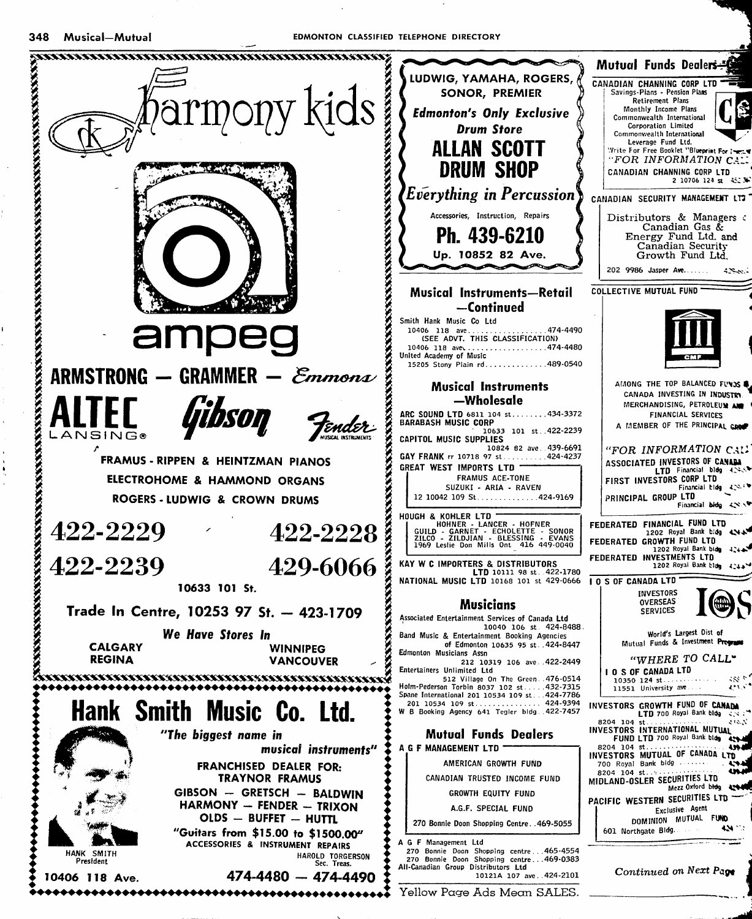

. ............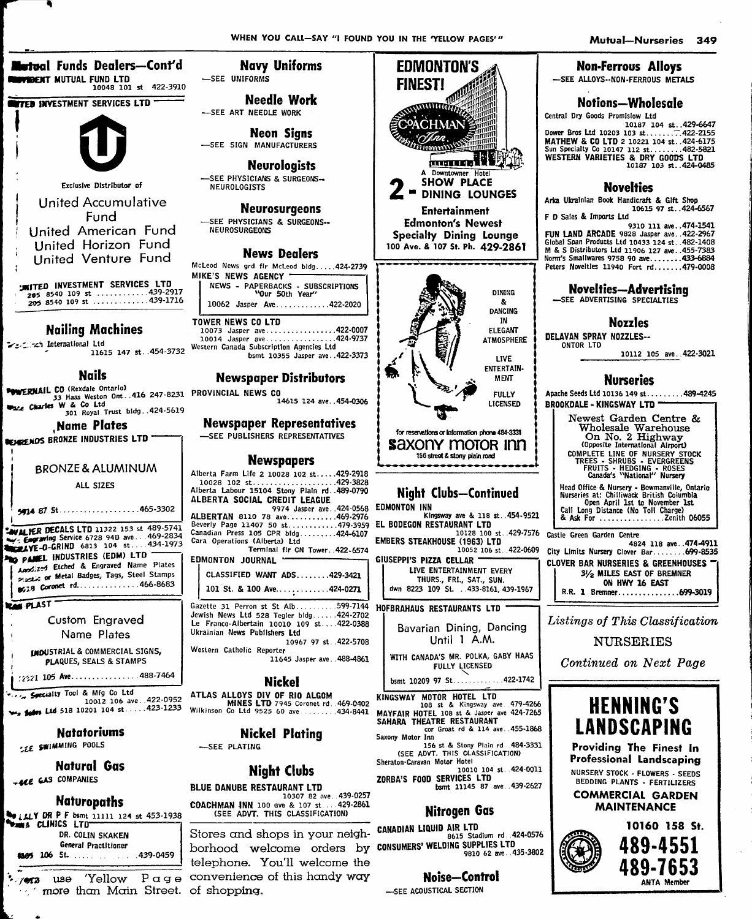10187 103 st..424-0485

10112 105 ave. 422-3021

**Non-Ferrous Alloys** 

Notions-Wholesale

Sun Specialty Co 10147 112 st.........482-5821<br>WESTERN VARIETIES & DRY GOODS LTD

**Novelties** 

Peters Novelties 11940 Fort rd.......479-0008

**Novelties-Advertising** 

**Nozzles** 

**Nurseries** 

Apache Seeds Ltd 10136 149 st. . . . . . . . . 489-4245

Newest Garden Centre &

Wholesale Warehouse<br>
On No. 2 Highway<br>
Opposite International Airport)

COMPLETE LINE OF NURSICE THE TRANSPORT STOCK<br>TREES - SHRUBS - EVERGREENS<br>FRUITS - HEDGING - ROSES<br>Canada's "National" Nursery

Head Office & Nursery - Bowmanville, Ontario<br>Nurseries at: Chilliwack British Columbia<br>Open April 1st to November 1st<br>Call Long Distance (No Toll Charge)

-SEE ADVERTISING SPECIALTIES

DELAVAN SPRAY NOZZLES--

**BROOKDALE - KINGSWAY LTD -**

ONTOR ITD

Arka Ukrainian Book Handicraft & Gift Shop

-SEE ALLOYS--NON-FERROUS METALS

Central Dry Goods Promisiow Ltd

**Metual Funds Dealers—Cont'd VIBENT MUTUAL FUND LTD**  $10048$   $101$  st 422-3910

**TTED INVESTMENT SERVICES LTD** 



Exclusive Distributor of

**Hnited Accumulative** Fund **United American Fund** United Horizon Fund United Venture Fund

**JMITED INVESTMENT SERVICES LTD**<br>205 8540 109 st .............439-2917<br>205 8540 109 st ..............439-1716

**Nailing Machines** 

**Seconds** International Ltd 11615 147 st. 454-3732

**Nails** 

**POWERNAIL CO** (Rexdale Ontario) LU IREAGRIE Unicarios<br>33 Haas Weston Ont. . 416 247-8231 PROVINCIAL NEWS CO Examples W & Co Ltd 301 Royal Trust bldg. .424-5619

**Name Plates** 

**SEVERENO'S BRONZE INDUSTRIES LTD "** 

### **BRONZE & ALUMINUM**

ALL SIZES

**CAVALUER DECALS LTD 11322 153 st 489-5741**<br>W. Expaning Service 6728 94B ave...469-2834<br>WEALVE-0-GRIND 6813 104 st....434-1973 PO PANEL INDUSTRIES (EDM) LTD Annized Etched & Engraved Name Plates Seal or Metal Badges, Tags, Steel Stamps 

**RAN PLAST** 

Custom Engraved Name Plates

**IMDUSTRIAL & COMMERCIAL SIGNS.** PLAQUES, SEALS & STAMPS

2221 105 Ave. . . . . . . . . . . . . . . . 488-7464

... Specialty Tool & Mfg Co Ltd  $\frac{10012}{10012}$  and  $\frac{10012}{10012}$  and  $\frac{10012}{10012}$  and  $\frac{10012}{10012}$  and  $\frac{10012}{10012}$  and  $\frac{10000}{10012}$  and  $\frac{10000}{10012}$  and  $\frac{10000}{10012}$  and  $\frac{10000}{10012}$  and  $\frac{10000}{10012}$  and

**Natatoriums** SEE SWIMMING POOLS

**Natural Gas** - ALE GAS COMPANIES

# **Naturopaths**

WELLY DR P F bsmt 11111 124 st 453-1938<br>Wama CLINICS LTD DR. COLIN SKAKEN **General Practitioner 4145 106 St.** . . . . . . . . . . . . 439-0459

 $\frac{1}{2}$  /973 1180 more than Main Street. of shopping.

**Navy Uniforms** -SEE UNIFORMS

**Needle Work** -SEE ART NEEDLE WORK

**Neon Signs** -SEE SIGN MANUFACTURERS

**Neurologists** -SEE PHYSICIANS & SURGEONS-**NEUROLOGISTS** 

**Neurosurgeons** -SEE PHYSICIANS & SURGEONS--

NEUROSURGEONS

### **News Dealers**

McLeod News grd flr McLeod bldg.....424-2739 MIKE'S NEWS AGENCY -NEWS - PAPERBACKS - SUBSCRIPTIONS<br>
Your 50th Year' 10062 Jasper Ave............422-2020

**TOWER NEWS CO LTD** 

Western Canada Subscription Agencies Ltd bsmt 10355 Jasper ave..422-3373

# **Newspaper Distributors**

14615 124 ave..454-0306

**Newspaper Representatives** -SEE PUBLISHERS REPRESENTATIVES

### **Newspapers**

Alberta Farm Life 2 10028 102 st.....429-2918 ALBERTA SOCIAL CREDIT LEAGUE 9974 Jasper ave. 424-0568 EDMONTON INN ALBERTAN 8110 78 ave............469-2976 Beverly Page 11407 50 st.............479-3959 Canadian Press 105 CPR bldg.........424-6107 Cara Operations (Alberta) 1td

Terminal fir CN Tower. 422-6574 

| CUMUNIUN JUUKNAL                                                                                                                                                                     |
|--------------------------------------------------------------------------------------------------------------------------------------------------------------------------------------|
| CLASSIFIED WANT ADS429-3421                                                                                                                                                          |
| 101 St. & 100 Ave424-0271                                                                                                                                                            |
| Gazette 31 Perron st St Alb599-7144<br>Jewish News Ltd 528 Tegler bldg424-2702<br>Le Franco-Albertain 10010 109 st422-0388<br>Ukrainian News Publishers Ltd<br>10967 97 st. 422-5708 |
| Western Catholic Reporter<br>11645 Jasper ave488-4861                                                                                                                                |
|                                                                                                                                                                                      |

### **Nickel**

**ATLAS ALLOYS DIV OF RIO ALGOM<br>MINES LTD 7945 Coronet rd. 469-0402<br>Wilkinson Co Ltd 9525 60 ave..........434-8441** 

### **Nickel Plating** -SEE PLATING

# **Night Clubs**

**BLUE DANUBE RESTAURANT LTD** 10307 82 ave..439-0257<br>10307 82 ave..439-0257 COACHMAN INN 100 ave & 107 st. (SEE ADVT. THIS CLASSIFICATION)

Stores and shops in your neigh- CANADIAN LIQUID AIR LTD borhood welcome orders by CONSUMERS' WELDING SUPPLIES LTD telephone. You'll welcome the 'Yellow  $P \alpha g e$  convenience of this handy way



EL BODEGON RESTAURANT LTD 10128 100 st. 429-7576

EMBERS STEAKHOUSE (1963) LTD 10052 106 st 422-0609 GIUSEPPI'S PIZZA CELLAR

LIVE ENTERTAINMENT EVERY THURS., FRI., SAT., SUN. dwn 8223 109 St. . 433-8161, 439-1967

HOFBRAHAUS RESTAURANTS LTD

Bavarian Dining, Dancing Until 1 A.M.

WITH CANADA'S MR. POLKA, GABY HAAS

FULLY LICENSED bsmt 10209 97 St............422-1742

KINGSWAY MOTOR HOTEL LTD 108 st & Kingsway ave. 479-4266<br>MAYFAIR HOTEL 108 st & Jasper ave 424-7265 SAHARA THEATRE RESTAURANT cor Groat rd & 114 ave...455-1868 Saxony Motor Inn 156 st & Stony Plain rd. 484-3331

(SEE ADVT. THIS CLASSIFICATION)

20RBA'S FOOD SERVICES LTD bsmt 11145 87 ave. 439-2627

## **Nitrogen Gas**

8615 Stadium rd. 424-0576 9810 62 ave. 435-3802

# Noise-Control

-SEE ACOUSTICAL SECTION

### Castle Green Garden Centre 4824 118 ave..474-4911 City Limits Nursery Clover Bar........ 699-8535 **CLOVER BAR NURSERIES & GREENHOUSES**

3/2 MILES EAST OF BREMNER ON HWY 16 EAST R.R. 1 Bremner...............699-3019

Listings of This Classification

**NURSERIES** 

Continued on Next Page



Providing The Finest In **Professional Landscaping** NURSERY STOCK - FLOWERS - SEEDS BEDDING PLANTS - FERTILIZERS

**COMMERCIAL GARDEN MAINTENANCE** 



**ANTA Membe**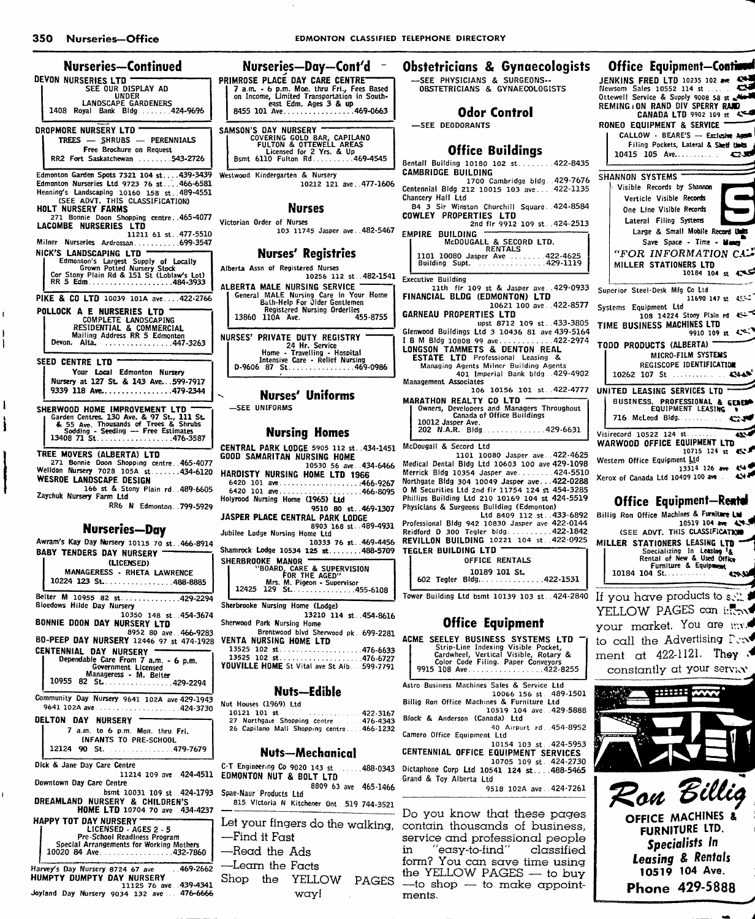| Nurseries—Continued<br>DEVON NURSERIES LTD                                                                                                                                                          | <b>PRIM</b>         |
|-----------------------------------------------------------------------------------------------------------------------------------------------------------------------------------------------------|---------------------|
| <b>SEE OUR DISPLAY AD</b><br>UNDER                                                                                                                                                                  | 7<br>OI             |
| <b>LANDSCAPE GARDENERS</b><br>1408<br>Bldg424-9696<br>Royal<br>Bank                                                                                                                                 | 8                   |
| DROPMORE NURSERY LTD<br><b>TREES</b><br>- SHRUBS<br>- PERENNIALS                                                                                                                                    | <b>SAMS</b>         |
| Free Brochure on Request<br>RR2 Fort Saskatchewan 543-2726                                                                                                                                          | B                   |
| Edmonton Garden Spots 7321 104 st439-3439<br>Edmonton Nurseries Ltd 9723 76 st 466-6581<br>Henning's Landscaping 10160 158 st. 489-4551<br>(SEE ADVT. THIS CLASSIFICATION)                          | Westw               |
| <b>HOLT NURSERY FARMS</b><br>271 Bonnie Doon Shopping centre. 465-4077<br>LACOMBE<br><b>NURSERIES</b><br>LTD                                                                                        | Victor              |
| 11211 61 st477-5510<br>Milner Nurseries Ardrossan699-3547                                                                                                                                           |                     |
| NICK'S<br>LANDSCAPING LTD                                                                                                                                                                           |                     |
| Edmonton's Largest Supply of Locally<br>Grown Potted Nursery Stock<br>Cor Stony Plain Rd & 151 St (Loblaw's Lot)                                                                                    | Albert              |
| PIKE & CO LTD 10039 101A ave422-2766                                                                                                                                                                | ALBE<br>G           |
| POLLOCK A E NURSERIES LTD<br>COMPLETE LANDSCAPING                                                                                                                                                   | ı                   |
| RESIDENTIAL & COMMERCIAL<br>Mailing Address RR 5 Edmonton<br>Devon.<br>Alta.<br>. 447-3263                                                                                                          | <b>NURS</b>         |
| <b>SEED CENTRE LTD</b>                                                                                                                                                                              | D                   |
| Your Local Edmonton Nursery<br>Nursery at 127 St. & 143 Ave599-7917<br>9339 118 Ave479-2344                                                                                                         |                     |
|                                                                                                                                                                                                     | ś                   |
| SHERWOOD HOME IMPROVEMENT LTD<br>Carden Centres. 130 Ave. & 97 St., 111 St.<br>& 55 Ave. Western Centres. 130 Ave. & 97 St., 111 St.<br>& 50dding - Seeding — Free Estimates<br>13408 71 St476-3587 |                     |
| <b>TREE MOVERS (ALBERTA) LTD</b>                                                                                                                                                                    | <b>CENT</b><br>GOOD |
| 271 Bonnie Doon Shopping centre465-4077<br>Welldon Nursery 7028 105A st434-6120<br>WESROE LANDSCAPE DESIGN                                                                                          | HARI                |
| 166 st & Stony Plain rd. 489-6605<br>Zaychuk Nursery Farm Ltd                                                                                                                                       | 64:<br>64<br>Holyn  |
| RR6 N Edmonton 799-5929                                                                                                                                                                             | JASP                |
| Nurseries-Day                                                                                                                                                                                       | Jubile              |
| Awram's Kay Day Nursery 10115 70 st. 466-8914                                                                                                                                                       | Sham                |
| <b>BABY TENDERS DAY NURSERY</b><br>(LICENSED)                                                                                                                                                       | <b>SHEF</b>         |
| MANAGERESS - RHETA LAWRENCE<br>10224 123 St. 488-8885                                                                                                                                               | 1                   |
| Belter M 10955 82 st 429-2294<br>Bloedows Hilde Day Nursery                                                                                                                                         | Sherb               |
| 10350 148 st. 454-3674<br>BONNIE DOON DAY NURSERY LTD                                                                                                                                               | Sherw               |
| 8952 80 ave. 466-9283<br>BO-PEEP DAY NURSERY 12446 97 st 474-1928                                                                                                                                   | VENT<br>13,         |
| <b>CENTENNIAL DAY</b><br><b>NURSERY</b><br>Dependable Care From 7 a.m. - 6 p.m.<br>Government Licensed                                                                                              | 13:<br>YOU\         |
| Manageress - M. Belter<br>10955<br>82<br>St. 429-2294                                                                                                                                               |                     |
| Community Day Nursery 9641 102A ave 429-1943<br>9641 102A ave424-3730                                                                                                                               | Nut 1<br>10         |
| DELTON DAY<br><b>NURSERY</b><br>7<br>a.m. to 6 p.m. Mon. thru Fri.                                                                                                                                  | 27<br>26            |
| <b>INFANTS TO PRE-SCHOOL</b><br>90 St. 479-7679<br>12124                                                                                                                                            |                     |
| Dick & Jane Day Care Centre<br>11214 109 ave 424-4511                                                                                                                                               | C-T I<br><b>EDM</b> |
| Downtown Day Care Centre<br>bsmt 10031 109 st. 424-1793                                                                                                                                             | Spae-               |
| DREAMLAND NURSERY & CHILDREN'S<br>HOME LTD 10704 70 ave 434-4237                                                                                                                                    | 8.                  |
| <b>HAPPY TOT DAY NURSERY -</b><br>LICENSED - AGES 2 - 5                                                                                                                                             | Let<br>-F           |
| Pre-School Readiness Program<br>Special Arrangements for Working Mothers<br>10020 84 Ave. 432-7860                                                                                                  | -н                  |
| Harvey's Day Nursery 8724 67 ave<br>$3.469 - 2662$<br><b>HUMPTY DUMPTY DAY NURSERY</b>                                                                                                              | Л.<br>Shc           |

11125 76 ave 439-4341 Joyland Day Nursery 9034 132 ave .. 476-6666

| Nurseries-Day-Cont'd                                                | <b>Obstetricians &amp; Gynaecologists</b>        |
|---------------------------------------------------------------------|--------------------------------------------------|
| <b>AROSE PLACE DAY CARE CENTRE</b>                                  | -SEE PHYSICIANS & SURGEONS--                     |
| 7 a.m. - 6 p.m. Mon. thru Fri., Fees Based                          | OBSTETRICIANS & GYNAECOLOGISTS                   |
| on Income, Limited Transportation in South-                         |                                                  |
| east Edm. Ages 3 & up                                               |                                                  |
| 3455 101 Ave469-0663                                                | <b>Odor Control</b>                              |
|                                                                     |                                                  |
| <b>SON'S DAY NURSERY</b>                                            | -SEE DEODORANTS                                  |
| COVERING GOLD BAR, CAPILANO                                         |                                                  |
| FULTON & OTTEWELL AREAS                                             |                                                  |
| Licensed for 2 Yrs. & Up<br>3smt 6110 Fulton Rd469-4545             | <b>Office Buildings</b>                          |
|                                                                     | Bentall Building 10180 102 st422-8435            |
|                                                                     |                                                  |
| wood Kindergarten & Nursery                                         | CAMBRIDGE BUILDING                               |
| 10212 121 ave. 477-1606                                             | 1700 Cambridge bldg. 429-7676                    |
|                                                                     | Centennial Bidg 212 10015 103 ave 422-1135       |
|                                                                     | Chancery Hall Ltd                                |
| <b>Nurses</b>                                                       | B4 3 Sir Winston Churchill Square 424-8584       |
|                                                                     | <b>COWLEY PROPERTIES LTD</b>                     |
| rian Order of Nurses                                                | 2nd fir 9912 109 st424-2513                      |
| 103 11745 Jasper ave. 482-5467                                      | <b>EMPIRE BUILDING</b>                           |
|                                                                     | McDOUGALL & SECORD LTD.                          |
|                                                                     | <b>RENTALS</b>                                   |
| <b>Nurses' Registries</b>                                           | 1101 10080 Jasper Ave  422-4625                  |
| rta Assn of Registered Nurses                                       | Building Supt. 429-1119                          |
| 10256 112 st. 482-1541                                              |                                                  |
|                                                                     | <b>Executive Building</b>                        |
| ERTA MALE NURSING SERVICE<br>General MALE Nursing Care in Your Home | 11th fir 109 st & Jasper ave429-0933             |
| Bath-Help For Older Gentlemen                                       | FINANCIAL BLDG (EDMONTON) LTD                    |
| Registered Nursing Orderlies                                        | 10621 100 ave .422-8577                          |
| 455-8755<br>13860 110A Ave.                                         | <b>GARNEAU PROPERTIES LTD</b>                    |
|                                                                     | upst 8712 109 st. 433-3805                       |
|                                                                     | Glenwood Buildings Ltd 3 10436 81 ave 439-5164   |
| SES' PRIVATE DUTY REGISTRY<br>24 Hr. Service                        | IB M Bldg 10808 99 ave422-2974                   |
| Home - Travelling - Hospital                                        | <b>LONGSON TAMMETS &amp; DENTON REAL</b>         |
| Intensive Care - Relief Nursing                                     | <b>ESTATE LTD</b> Professional Leasing &         |
| 0-9606 87 St. 469-0986                                              | Managing Agents Milner Building Agents           |
|                                                                     | 401 Imperial Bank bldg. 429-4902                 |
|                                                                     | Management Associates                            |
| <b>Nurses' Uniforms</b>                                             | 106 10156 101 st422-4777                         |
|                                                                     | <b>MARATHON REALTY CO LTD</b>                    |
| <b>SEE UNIFORMS</b>                                                 | Owners, Developers and Managers Throughout       |
|                                                                     | Canada of Office Buildings                       |
|                                                                     | 10012 Jasper Ave.                                |
| <b>Nursing Homes</b>                                                | 202 N.A.R. Bldg429-6631                          |
|                                                                     | McDougall & Secord Ltd                           |
| TRAL PARK LODGE 5905 112 st. 434-1451                               | 1101 10080 Jasper ave422-4625                    |
| D SAMARITAN NURSING HOME                                            | Medical Dental Bidg Ltd 10603 100 ave 429-1098   |
| 10530 56 ave 434-6466                                               |                                                  |
| DISTY NURSING HOME LTD 1966                                         | Merrick Bldg 10354 Jasper ave424-5510            |
| 120 101 ave466-9267                                                 | Northgate Bidg 304 10049 Jasper ave422-0288      |
| 120 101 ave466-8095                                                 | 0 M Securities Ltd 2nd flr 11754 124 st 454-3285 |
| rood Nursing Home (1965) Ltd                                        | Phillips Building Ltd 210 10169 104 st 424-5519  |
| 9510 80 st. 469-1307                                                | Physicians & Surgeons Building (Edmonton)        |
| PER PLACE CENTRAL PARK LODGE                                        | Ltd 8409 112 st. 433-6892                        |
| 8903 168 st. 489-4931                                               | Professional Bldg 942 10830 Jasper ave 422-0144  |
| loo Lodge Nurriga Home Lid                                          | Reidford D 300 Tealer bldg422-1842               |

| <b>Nursing Homes</b>                                                           |  |
|--------------------------------------------------------------------------------|--|
| <b>CENTRAL PARK LODGE</b> 5905 112 st. 434-1451<br>GOOD SAMARITAN NURSING HOME |  |
| 10530 56 ave 434-6466                                                          |  |
| HARDISTY NURSING HOME LTD 1966                                                 |  |
| 6420 101 ave466-9267                                                           |  |
| 6420 101 ave466-8095                                                           |  |
| Holyrood Nursing Home (1965) Ltd                                               |  |
| 9510 80 st. 469-1307                                                           |  |
| JASPER PLACE CENTRAL PARK LODGE                                                |  |
| 8903 168 st. 489-4931                                                          |  |
| Jubilee Lodge Nursing Home Ltd                                                 |  |
| 10333 76 st. 469-4456                                                          |  |
| Shamrock Lodge 10534 125 st488-5709                                            |  |
| <b>SHERBROOKE MANOR</b>                                                        |  |
| <b>"BOARD, CARE &amp; SUPERVISION</b><br>FOR THE AGED"                         |  |
| Mrs. M. Pigeon - Supervisor                                                    |  |
| 12425 129 St. 455-6108                                                         |  |
|                                                                                |  |
| Sherbrooke Nursing Home (Lodge)                                                |  |
| 13210 114 st. 454-8616                                                         |  |
| Chanwood Dark Nuvelus Usma                                                     |  |

Park Nursing Home Brentwood blvd Sherwood pk. 699-2281 A NURSING HOME LTD 476-6633 525 102 st 476-6727

#### ILLLE HOME St Vital ave St Alb. 599-7791

### Nuts—Edible

Houses (1969) Ltd <del>ו</del>ת ומר וכר

| 10121 101 st. 422-3167                    |  |
|-------------------------------------------|--|
| 27 Northgace Shopping centre  476-4343    |  |
| 26 Capilano Mall Shopping centre 466-1232 |  |
|                                           |  |

### **Nuts-Mechanical**

Engineering Co 9020 143 st... ONTON NUT & BOLT LTD 8809 63 ave 465-1466 Naur Products Ltd

15 Victoria N Kitchener Ont 519 744-3521

'ind it Fast

- lead the Ads
- earn the Facts. YELLOW PAGES the סכ way!

| Odor Control<br><b>-SEE DEODORANTS</b><br><b>Office Buildings</b><br>itall Building 10180 102 st422-8435                                                                                                                                                                                                                                             | Ottewell Service & Supply 9008 58 st Mo<br>REMING ON RAND DIV SPERRY RAND<br>CANADA LTD 9902 109 st 4<br>RONEO EQUIPMENT & SERVICE<br>CALLOW - BEARE'S - Exclusive Agent<br>Filing Pockets, Lateral & Shelf there<br>10415 105 Ave<br><b>C.O</b>           |
|------------------------------------------------------------------------------------------------------------------------------------------------------------------------------------------------------------------------------------------------------------------------------------------------------------------------------------------------------|------------------------------------------------------------------------------------------------------------------------------------------------------------------------------------------------------------------------------------------------------------|
| MBRIDGE BUILDING<br>1700 Cambridge bldg. 429-7676<br>tennial Bidg 212 10015 103 ave422-1135<br>uncery Hall Ltd<br>84 3 Sir Winston Churchill Square 424-8584<br><b>WLEY PROPERTIES LTD</b><br>2nd flr 9912 109 st424-2513<br>PIRE BUILDING<br>McDOUGALL & SECORD LTD.<br><b>RENTALS</b><br>1101 10080 Jasper Ave 422-4625<br>Building Supt. 429-1119 | <b>SHANNON SYSTEMS</b><br>Visible Records by Shannon<br>Verticle Visible Records<br>One Line Visible Records<br>Lateral Filing Systems<br>Large & Small Mobile Record Units<br>Save Space - Time - Money<br>"FOR INFORMATION CALL<br>MILLER STATIONERS LTD |
| cutive Building<br>11th fir 109 st & Jasper ave429-0933<br>NANCIAL BLDG (EDMONTON) LTD<br>10621 100 ave422-8577<br><b>RNEAU PROPERTIES LTD</b><br>upst 8712 109 st. 433-3805<br>nwood Buildings Ltd 3 10436 81 ave 439-5164<br>.                                                                                                                     | 10184 104 st $\sim$<br>Superior Steel-Desk Mfg Co Ltd<br>11690 147 st $45 -$<br>Systems Equipment Ltd<br>108 14224 Stony Plain rd 45+<br>TIME BUSINESS MACHINES LTD<br>9910 109 st $45 - 7$                                                                |

| 10012 Jasper Ave. | 202 N.A.R. Bldg429-6631 |  |
|-------------------|-------------------------|--|
|                   |                         |  |

1101 10080 Jasper ave..422-4625 tal Bidg Ltd 10603 100 ave 429-1098  $910354$  Jasper ave.......424-5510 dg 304 10049 Jasper ave...422-0288 ies Ltd 2nd flr 11754 124 st 454-3285 ding Ltd 210 10169 104 st 424-5519 Surgeons Building (Edmonton) Ltd 8409 112 st..433-6892<br>Bldg 942 10830 Jasper ave 422-0144  $422 - 1842$ 300 Tegler bldg... REVILLON BUILDING 10221 104 st. 422-0925 TEGLER BUILDING LTD OFFICE RENTALS

10189 101 St. 602 Tegler Bldg. . . . . . . . . . . . . 422-1531

Tower Building Ltd bsmt 10139 103 st. 424-2840 If you have products to sell.

## **Office Equipment**

ACME SEELEY BUSINESS SYSTEMS LTD ME SELLET BUSINESS STSTEMS<br>Strip-Line Indexing Visible Pocket,<br>Cardwheel, Vertical Visible, Rotary &<br>Color Code Filing. Paper Conveyors<br>9915 108 Ave........................422-8255 Astro Business Machines Sales & Service Ltd 10066 156 st. 489-1501 Billig Ron Office Machines & Furniture Ltd 10519 104 ave. 429-5888 Block & Anderson (Canada) Ltd 40 Airport rd. 454-8952 Camero Office Equipment Ltd 10154 103 st. 424-5953

CENTENNIAL OFFICE EQUIPMENT SERVICES 10705 109 st. 424-2730

...488-0343 Dictaphone Corp Ltd 10541 124 st....488-5465 Grand & Toy Alberta Ltd

9518 102A ave. . 424-7261

Do you know that these pages your fingers do the walking, contain thousands of business, service and professional people "easy-to-find" classified in. form? You can save time using the YELLOW PAGES - to buy -to shop - to make appointments.



**Office Equipment-Continue** 

قبتم

JENKINS FRED LTD 10235 102 ave 424

Newsom Sales 10552 114 st



OFFICE MACHINES & FURNITURE LTD. Specialists In **Leasing & Rentals** 10519 104 Ave. Phone 429-5888